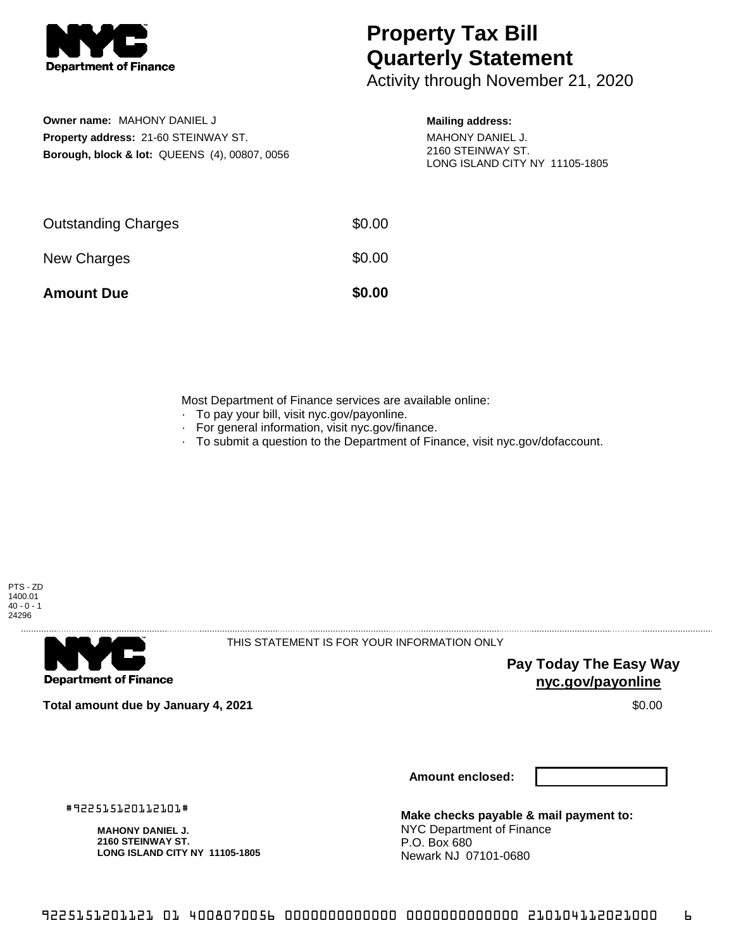

**Owner name:** MAHONY DANIEL J **Property address:** 21-60 STEINWAY ST.

**Borough, block & lot:** QUEENS (4), 00807, 0056

## **Property Tax Bill Quarterly Statement**

Activity through November 21, 2020

## **Mailing address:**

MAHONY DANIEL J. 2160 STEINWAY ST. LONG ISLAND CITY NY 11105-1805

| <b>Amount Due</b>          | \$0.00 |
|----------------------------|--------|
| New Charges                | \$0.00 |
| <b>Outstanding Charges</b> | \$0.00 |

Most Department of Finance services are available online:

- · To pay your bill, visit nyc.gov/payonline.
- For general information, visit nyc.gov/finance.
- · To submit a question to the Department of Finance, visit nyc.gov/dofaccount.





THIS STATEMENT IS FOR YOUR INFORMATION ONLY

**Pay Today The Easy Way nyc.gov/payonline**

**Total amount due by January 4, 2021** \$0.00

**Amount enclosed:**

#922515120112101#

**MAHONY DANIEL J. 2160 STEINWAY ST. LONG ISLAND CITY NY 11105-1805**

**Make checks payable & mail payment to:** NYC Department of Finance P.O. Box 680 Newark NJ 07101-0680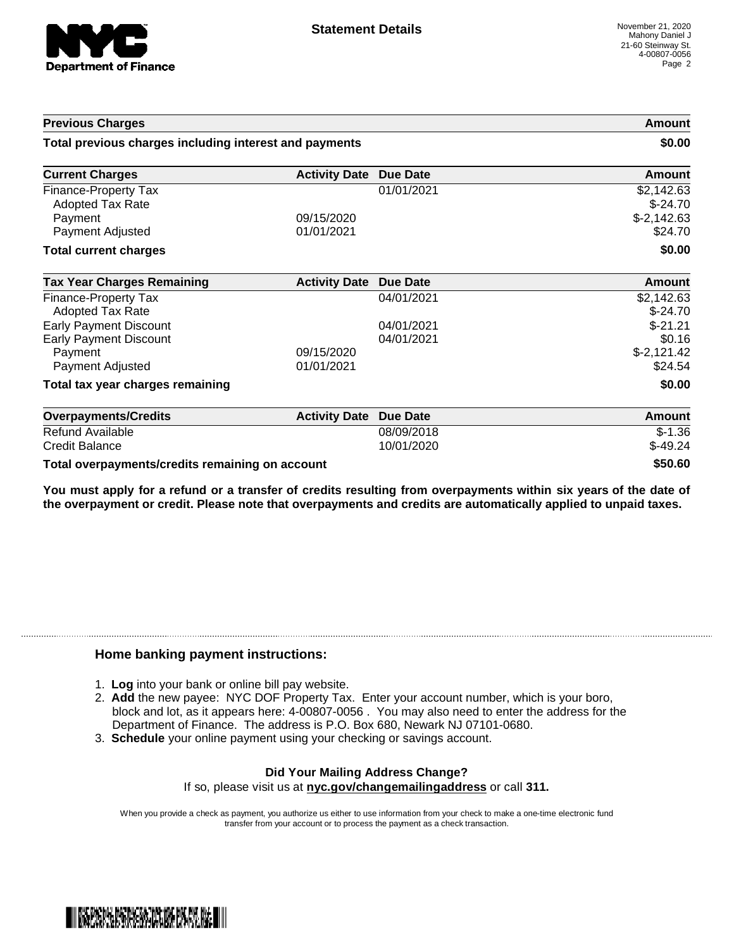

| <b>Previous Charges</b><br>Total previous charges including interest and payments |                          | Amount<br>\$0.00         |                         |
|-----------------------------------------------------------------------------------|--------------------------|--------------------------|-------------------------|
|                                                                                   |                          |                          | <b>Current Charges</b>  |
| Finance-Property Tax<br><b>Adopted Tax Rate</b>                                   |                          | 01/01/2021               | \$2,142.63<br>$$-24.70$ |
| Payment<br>Payment Adjusted                                                       | 09/15/2020<br>01/01/2021 |                          | $$-2,142.63$<br>\$24.70 |
| <b>Total current charges</b>                                                      |                          |                          | \$0.00                  |
| <b>Tax Year Charges Remaining</b>                                                 | <b>Activity Date</b>     | <b>Due Date</b>          | <b>Amount</b>           |
| Finance-Property Tax<br><b>Adopted Tax Rate</b>                                   |                          | 04/01/2021               | \$2,142.63<br>$$-24.70$ |
| <b>Early Payment Discount</b>                                                     |                          | 04/01/2021<br>04/01/2021 | $$-21.21$<br>\$0.16     |
| <b>Early Payment Discount</b><br>Payment<br>Payment Adjusted                      | 09/15/2020<br>01/01/2021 |                          | $$-2,121.42$<br>\$24.54 |
| Total tax year charges remaining                                                  |                          |                          | \$0.00                  |
| <b>Overpayments/Credits</b>                                                       | <b>Activity Date</b>     | <b>Due Date</b>          | <b>Amount</b>           |
| <b>Refund Available</b><br><b>Credit Balance</b>                                  |                          | 08/09/2018<br>10/01/2020 | $$-1.36$<br>$$-49.24$   |
| Total overpayments/credits remaining on account                                   |                          |                          | \$50.60                 |

You must apply for a refund or a transfer of credits resulting from overpayments within six years of the date of **the overpayment or credit. Please note that overpayments and credits are automatically applied to unpaid taxes.**

## **Home banking payment instructions:**

- 1. **Log** into your bank or online bill pay website.
- 2. **Add** the new payee: NYC DOF Property Tax. Enter your account number, which is your boro, block and lot, as it appears here: 4-00807-0056 . You may also need to enter the address for the Department of Finance. The address is P.O. Box 680, Newark NJ 07101-0680.
- 3. **Schedule** your online payment using your checking or savings account.

## **Did Your Mailing Address Change?**

If so, please visit us at **nyc.gov/changemailingaddress** or call **311.**

When you provide a check as payment, you authorize us either to use information from your check to make a one-time electronic fund transfer from your account or to process the payment as a check transaction.